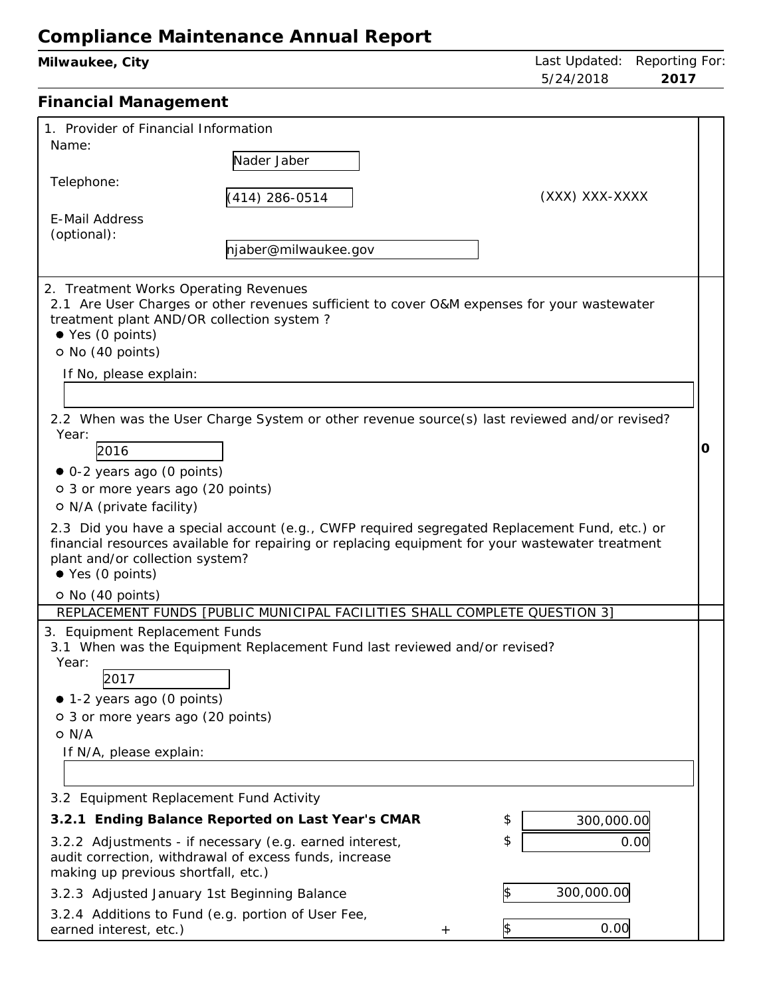| 00111p11a1100 Manntonanoo / Minaar Roport<br>Milwaukee, City                                                                                                                                                                                                                                                                                                                                                                                                                                                                                                                                                                                                                                                             | Last Updated:<br>5/24/2018                                | Reporting For:<br>2017 |
|--------------------------------------------------------------------------------------------------------------------------------------------------------------------------------------------------------------------------------------------------------------------------------------------------------------------------------------------------------------------------------------------------------------------------------------------------------------------------------------------------------------------------------------------------------------------------------------------------------------------------------------------------------------------------------------------------------------------------|-----------------------------------------------------------|------------------------|
| <b>Financial Management</b>                                                                                                                                                                                                                                                                                                                                                                                                                                                                                                                                                                                                                                                                                              |                                                           |                        |
| 1. Provider of Financial Information<br>Name:<br>Nader Jaber<br>Telephone:<br>$(414)$ 286-0514                                                                                                                                                                                                                                                                                                                                                                                                                                                                                                                                                                                                                           | (XXX) XXX-XXXX                                            |                        |
| <b>E-Mail Address</b><br>(optional):<br>njaber@milwaukee.gov                                                                                                                                                                                                                                                                                                                                                                                                                                                                                                                                                                                                                                                             |                                                           |                        |
| 2. Treatment Works Operating Revenues<br>2.1 Are User Charges or other revenues sufficient to cover O&M expenses for your wastewater<br>treatment plant AND/OR collection system?<br>$\bullet$ Yes (0 points)<br>O No (40 points)<br>If No, please explain:                                                                                                                                                                                                                                                                                                                                                                                                                                                              |                                                           |                        |
| 2.2 When was the User Charge System or other revenue source(s) last reviewed and/or revised?<br>Year:<br>2016<br>• 0-2 years ago (0 points)<br>o 3 or more years ago (20 points)<br>O N/A (private facility)<br>2.3 Did you have a special account (e.g., CWFP required segregated Replacement Fund, etc.) or<br>financial resources available for repairing or replacing equipment for your wastewater treatment<br>plant and/or collection system?<br>$\bullet$ Yes (0 points)<br>O No (40 points)                                                                                                                                                                                                                     |                                                           | O                      |
| REPLACEMENT FUNDS [PUBLIC MUNICIPAL FACILITIES SHALL COMPLETE QUESTION 3]<br>3. Equipment Replacement Funds<br>3.1 When was the Equipment Replacement Fund last reviewed and/or revised?<br>Year:<br>2017<br>• 1-2 years ago (0 points)<br>o 3 or more years ago (20 points)<br>$O$ N/A<br>If N/A, please explain:<br>3.2 Equipment Replacement Fund Activity<br>3.2.1 Ending Balance Reported on Last Year's CMAR<br>3.2.2 Adjustments - if necessary (e.g. earned interest,<br>audit correction, withdrawal of excess funds, increase<br>making up previous shortfall, etc.)<br>3.2.3 Adjusted January 1st Beginning Balance<br>3.2.4 Additions to Fund (e.g. portion of User Fee,<br>earned interest, etc.)<br>$^{+}$ | \$<br>300,000.00<br>\$<br>300,000.00<br>\$<br>β\$<br>0.00 | 0.00                   |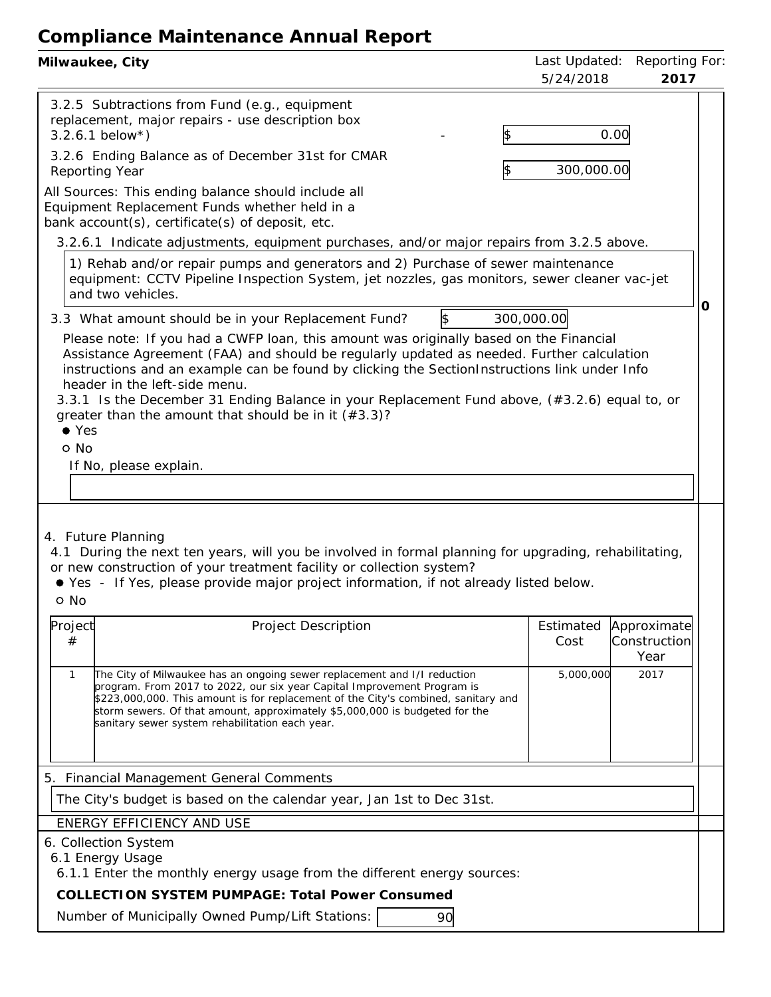| 5/24/2018<br>2017                                                                                                                                                                                                                                                                                                                                                                                                                                                                                                                                                                                                   | Last Updated: Reporting For |  |  |  |
|---------------------------------------------------------------------------------------------------------------------------------------------------------------------------------------------------------------------------------------------------------------------------------------------------------------------------------------------------------------------------------------------------------------------------------------------------------------------------------------------------------------------------------------------------------------------------------------------------------------------|-----------------------------|--|--|--|
| 3.2.5 Subtractions from Fund (e.g., equipment<br>replacement, major repairs - use description box<br>0.00<br>$3.2.6.1$ below*)                                                                                                                                                                                                                                                                                                                                                                                                                                                                                      |                             |  |  |  |
| 3.2.6 Ending Balance as of December 31st for CMAR<br>300,000.00<br>Reporting Year                                                                                                                                                                                                                                                                                                                                                                                                                                                                                                                                   |                             |  |  |  |
| All Sources: This ending balance should include all<br>Equipment Replacement Funds whether held in a<br>bank account(s), certificate(s) of deposit, etc.                                                                                                                                                                                                                                                                                                                                                                                                                                                            |                             |  |  |  |
| 3.2.6.1 Indicate adjustments, equipment purchases, and/or major repairs from 3.2.5 above.<br>1) Rehab and/or repair pumps and generators and 2) Purchase of sewer maintenance<br>equipment: CCTV Pipeline Inspection System, jet nozzles, gas monitors, sewer cleaner vac-jet<br>and two vehicles.                                                                                                                                                                                                                                                                                                                  |                             |  |  |  |
| Ο<br>300,000.00<br>\$<br>3.3 What amount should be in your Replacement Fund?<br>Please note: If you had a CWFP loan, this amount was originally based on the Financial<br>Assistance Agreement (FAA) and should be regularly updated as needed. Further calculation<br>instructions and an example can be found by clicking the SectionInstructions link under Info<br>header in the left-side menu.<br>3.3.1 Is the December 31 Ending Balance in your Replacement Fund above, (#3.2.6) equal to, or<br>greater than the amount that should be in it $(*3.3)$ ?<br>$\bullet$ Yes<br>o No<br>If No, please explain. |                             |  |  |  |
| 4. Future Planning<br>4.1 During the next ten years, will you be involved in formal planning for upgrading, rehabilitating,<br>or new construction of your treatment facility or collection system?<br>● Yes - If Yes, please provide major project information, if not already listed below.<br>o No                                                                                                                                                                                                                                                                                                               |                             |  |  |  |
| Project<br>Project Description<br>Estimated<br>Approximate<br>Construction<br>#<br>Cost<br>Year                                                                                                                                                                                                                                                                                                                                                                                                                                                                                                                     |                             |  |  |  |
| 5,000,000<br>2017<br>The City of Milwaukee has an ongoing sewer replacement and I/I reduction<br>1<br>program. From 2017 to 2022, our six year Capital Improvement Program is<br>\$223,000,000. This amount is for replacement of the City's combined, sanitary and<br>storm sewers. Of that amount, approximately \$5,000,000 is budgeted for the<br>sanitary sewer system rehabilitation each year.                                                                                                                                                                                                               |                             |  |  |  |
| 5. Financial Management General Comments                                                                                                                                                                                                                                                                                                                                                                                                                                                                                                                                                                            |                             |  |  |  |
| The City's budget is based on the calendar year, Jan 1st to Dec 31st.                                                                                                                                                                                                                                                                                                                                                                                                                                                                                                                                               |                             |  |  |  |
| ENERGY EFFICIENCY AND USE                                                                                                                                                                                                                                                                                                                                                                                                                                                                                                                                                                                           |                             |  |  |  |
| 6. Collection System<br>6.1 Energy Usage<br>6.1.1 Enter the monthly energy usage from the different energy sources:<br>COLLECTION SYSTEM PUMPAGE: Total Power Consumed                                                                                                                                                                                                                                                                                                                                                                                                                                              |                             |  |  |  |
| Number of Municipally Owned Pump/Lift Stations:<br>90                                                                                                                                                                                                                                                                                                                                                                                                                                                                                                                                                               |                             |  |  |  |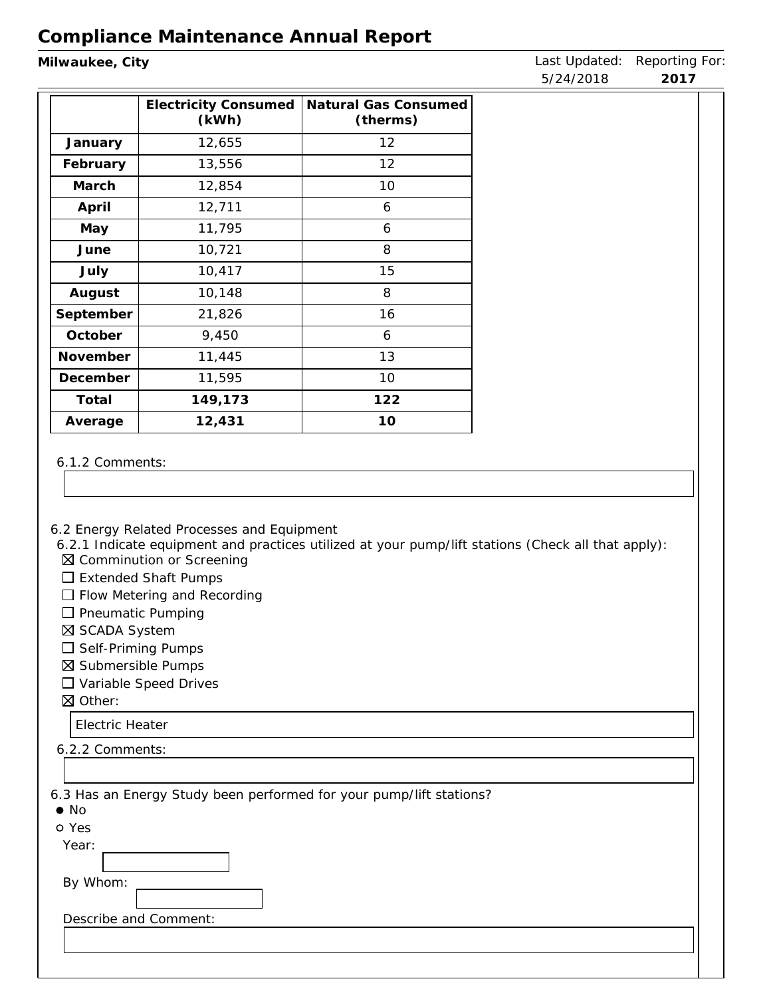| Milwaukee, City |                                            |                                                                                                    | Last Updated: | Reporting For |
|-----------------|--------------------------------------------|----------------------------------------------------------------------------------------------------|---------------|---------------|
|                 |                                            |                                                                                                    | 5/24/2018     | 2017          |
|                 | <b>Electricity Consumed</b><br>(kWh)       | Natural Gas Consumed<br>(therms)                                                                   |               |               |
| January         | 12,655                                     | 12                                                                                                 |               |               |
| February        | 13,556                                     | 12                                                                                                 |               |               |
| March           | 12,854                                     | 10                                                                                                 |               |               |
| April           | 12,711                                     | 6                                                                                                  |               |               |
| May             | 11,795                                     | 6                                                                                                  |               |               |
| June            | 10,721                                     | 8                                                                                                  |               |               |
| July            | 10,417                                     | 15                                                                                                 |               |               |
| August          | 10,148                                     | 8                                                                                                  |               |               |
| September       | 21,826                                     | 16                                                                                                 |               |               |
| October         | 9,450                                      | 6                                                                                                  |               |               |
| November        | 11,445                                     | 13                                                                                                 |               |               |
| December        | 11,595                                     | 10                                                                                                 |               |               |
| Total           | 149,173                                    | 122                                                                                                |               |               |
| Average         | 12,431                                     | 10                                                                                                 |               |               |
|                 |                                            |                                                                                                    |               |               |
| 6.1.2 Comments: |                                            |                                                                                                    |               |               |
|                 |                                            |                                                                                                    |               |               |
|                 |                                            |                                                                                                    |               |               |
|                 |                                            |                                                                                                    |               |               |
|                 | 6.2 Energy Related Processes and Equipment | 6.2.1 Indicate equipment and practices utilized at your pump/lift stations (Check all that apply): |               |               |
|                 | ⊠ Comminution or Screening                 |                                                                                                    |               |               |

- □ Extended Shaft Pumps
- □ Flow Metering and Recording
- $\square$  Pneumatic Pumping
- SCADA System
- $\square$  Self-Priming Pumps
- Submersible Pumps
- Variable Speed Drives
- Other:

Electric Heater

| 6.2.2 Comments:                                                                     |  |
|-------------------------------------------------------------------------------------|--|
|                                                                                     |  |
| 6.3 Has an Energy Study been performed for your pump/lift stations?<br>$\bullet$ No |  |
| o Yes                                                                               |  |
| Year:                                                                               |  |
| By Whom:                                                                            |  |
| Describe and Comment:                                                               |  |
|                                                                                     |  |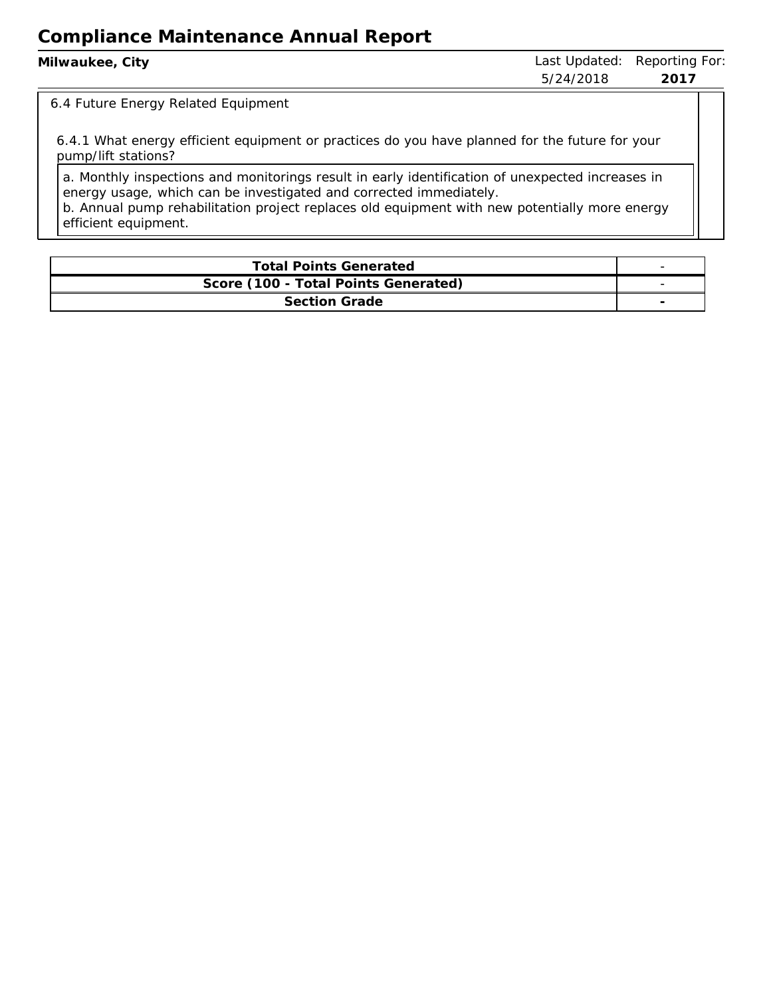| Milwaukee, City | 5/24/2018 | Last Updated: Reporting For:<br>2017 |
|-----------------|-----------|--------------------------------------|
|                 |           |                                      |

#### 6.4 Future Energy Related Equipment

6.4.1 What energy efficient equipment or practices do you have planned for the future for your pump/lift stations?

a. Monthly inspections and monitorings result in early identification of unexpected increases in energy usage, which can be investigated and corrected immediately. b. Annual pump rehabilitation project replaces old equipment with new potentially more energy

efficient equipment.

| <b>Total Points Generated</b>        |  |
|--------------------------------------|--|
| Score (100 - Total Points Generated) |  |
| <b>Section Grade</b>                 |  |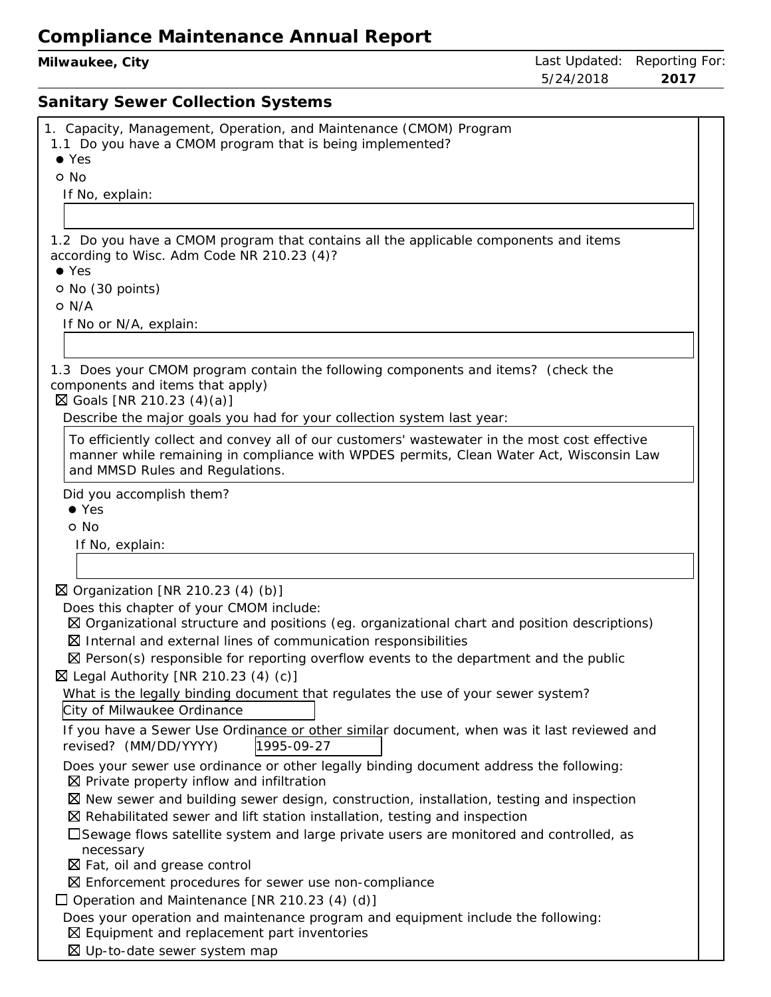**Milwaukee, City Contract Contract Contract Contract Contract Contract Contract Contract Contract Contract Contract Contract Contract Contract Contract Contract Contract Contract Contract Contract Contract Contract Contr** 5/24/2018 **2017 Sanitary Sewer Collection Systems** 1. Capacity, Management, Operation, and Maintenance (CMOM) Program 1.1 Do you have <sup>a</sup> CMOM program that is being implemented? Yes o No If No, explain: 1.2 Do you have <sup>a</sup> CMOM program that contains all the applicable components and items according to Wisc. Adm Code NR 210.23 (4)? Yes No (30 points) O N/A If No or N/A, explain: 1.3 Does your CMOM program contain the following components and items? (check the components and items that apply)  $\boxtimes$  Goals [NR 210.23 (4)(a)] Describe the major goals you had for your collection system last year: To efficiently collect and convey all of our customers' wastewater in the most cost effective manner while remaining in compliance with WPDES permits, Clean Water Act, Wisconsin Law and MMSD Rules and Regulations. Did you accomplish them? Yes o No If No, explain: Organization [NR 210.23 (4) (b)] Does this chapter of your CMOM include: Organizational structure and positions (eg. organizational chart and position descriptions)  $\boxtimes$  Internal and external lines of communication responsibilities

 $\boxtimes$  Person(s) responsible for reporting overflow events to the department and the public  $\boxtimes$  Legal Authority [NR 210.23 (4) (c)]

What is the legally binding document that regulates the use of your sewer system? City of Milwaukee Ordinance

If you have <sup>a</sup> Sewer Use Ordinance or other similar document, when was it last reviewed and revised? (MM/DD/YYYY) 1995-09-27

Does your sewer use ordinance or other legally binding document address the following:  $\boxtimes$  Private property inflow and infiltration

 $\boxtimes$  New sewer and building sewer design, construction, installation, testing and inspection

 $\boxtimes$  Rehabilitated sewer and lift station installation, testing and inspection

Sewage flows satellite system and large private users are monitored and controlled, as necessary

 $\boxtimes$  Fat, oil and grease control

Enforcement procedures for sewer use non-compliance

 $\Box$  Operation and Maintenance [NR 210.23 (4) (d)]

Does your operation and maintenance program and equipment include the following:

 $\boxtimes$  Equipment and replacement part inventories

Up-to-date sewer system map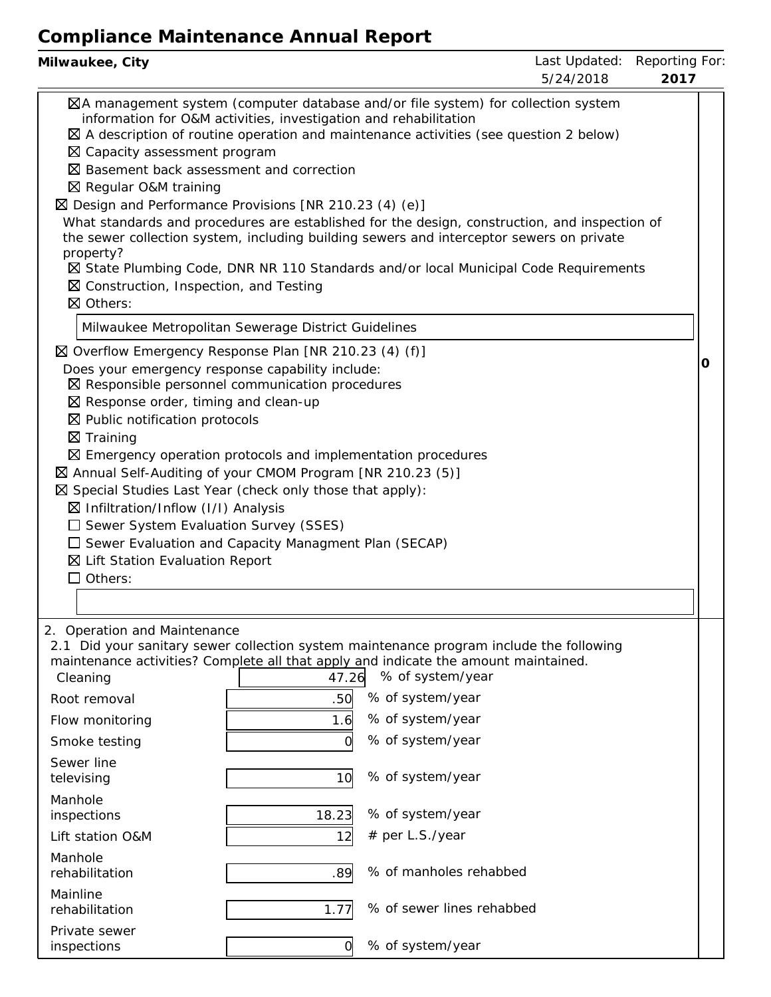| Milwaukee, City                                                                                                                                                                                                                                                                                                                                                                                                                                                                                                                                                                                                                                                                                                                                                                                            |             |                                     | Last Updated: Reporting For:<br>5/24/2018 | 2017 |  |
|------------------------------------------------------------------------------------------------------------------------------------------------------------------------------------------------------------------------------------------------------------------------------------------------------------------------------------------------------------------------------------------------------------------------------------------------------------------------------------------------------------------------------------------------------------------------------------------------------------------------------------------------------------------------------------------------------------------------------------------------------------------------------------------------------------|-------------|-------------------------------------|-------------------------------------------|------|--|
| ⊠A management system (computer database and/or file system) for collection system<br>information for O&M activities, investigation and rehabilitation<br>$\boxtimes$ A description of routine operation and maintenance activities (see question 2 below)<br>⊠ Capacity assessment program<br>⊠ Basement back assessment and correction<br>⊠ Regular O&M training<br>$\boxtimes$ Design and Performance Provisions [NR 210.23 (4) (e)]<br>What standards and procedures are established for the design, construction, and inspection of<br>the sewer collection system, including building sewers and interceptor sewers on private<br>property?<br>⊠ State Plumbing Code, DNR NR 110 Standards and/or local Municipal Code Requirements<br>$\boxtimes$ Construction, Inspection, and Testing<br>⊠ Others: |             |                                     |                                           |      |  |
| Milwaukee Metropolitan Sewerage District Guidelines                                                                                                                                                                                                                                                                                                                                                                                                                                                                                                                                                                                                                                                                                                                                                        |             |                                     |                                           |      |  |
| ⊠ Overflow Emergency Response Plan [NR 210.23 (4) (f)]<br>Does your emergency response capability include:<br>$\boxtimes$ Responsible personnel communication procedures<br>$\boxtimes$ Response order, timing and clean-up<br>$\boxtimes$ Public notification protocols<br>$\boxtimes$ Training<br>$\boxtimes$ Emergency operation protocols and implementation procedures<br>⊠ Annual Self-Auditing of your CMOM Program [NR 210.23 (5)]<br>$\boxtimes$ Special Studies Last Year (check only those that apply):<br>$\boxtimes$ Infiltration/Inflow (I/I) Analysis<br>$\square$ Sewer System Evaluation Survey (SSES)<br>$\Box$ Sewer Evaluation and Capacity Managment Plan (SECAP)<br>⊠ Lift Station Evaluation Report<br>$\Box$ Others:                                                               |             |                                     |                                           | Ő    |  |
| 2. Operation and Maintenance<br>2.1 Did your sanitary sewer collection system maintenance program include the following<br>maintenance activities? Complete all that apply and indicate the amount maintained.                                                                                                                                                                                                                                                                                                                                                                                                                                                                                                                                                                                             |             |                                     |                                           |      |  |
| Cleaning                                                                                                                                                                                                                                                                                                                                                                                                                                                                                                                                                                                                                                                                                                                                                                                                   | 47.26       | % of system/year                    |                                           |      |  |
| Root removal                                                                                                                                                                                                                                                                                                                                                                                                                                                                                                                                                                                                                                                                                                                                                                                               | .50         | % of system/year                    |                                           |      |  |
| Flow monitoring                                                                                                                                                                                                                                                                                                                                                                                                                                                                                                                                                                                                                                                                                                                                                                                            | 1.6         | % of system/year                    |                                           |      |  |
| Smoke testing                                                                                                                                                                                                                                                                                                                                                                                                                                                                                                                                                                                                                                                                                                                                                                                              |             | % of system/year                    |                                           |      |  |
| Sewer line<br>televising                                                                                                                                                                                                                                                                                                                                                                                                                                                                                                                                                                                                                                                                                                                                                                                   | 10          | % of system/year                    |                                           |      |  |
| Manhole                                                                                                                                                                                                                                                                                                                                                                                                                                                                                                                                                                                                                                                                                                                                                                                                    |             |                                     |                                           |      |  |
| inspections<br>Lift station O&M                                                                                                                                                                                                                                                                                                                                                                                                                                                                                                                                                                                                                                                                                                                                                                            | 18.23<br>12 | % of system/year<br># per L.S./year |                                           |      |  |
| Manhole<br>rehabilitation                                                                                                                                                                                                                                                                                                                                                                                                                                                                                                                                                                                                                                                                                                                                                                                  | .89         | % of manholes rehabbed              |                                           |      |  |
| Mainline<br>rehabilitation                                                                                                                                                                                                                                                                                                                                                                                                                                                                                                                                                                                                                                                                                                                                                                                 | 1.77        | % of sewer lines rehabbed           |                                           |      |  |
| Private sewer<br>inspections                                                                                                                                                                                                                                                                                                                                                                                                                                                                                                                                                                                                                                                                                                                                                                               | 0           | % of system/year                    |                                           |      |  |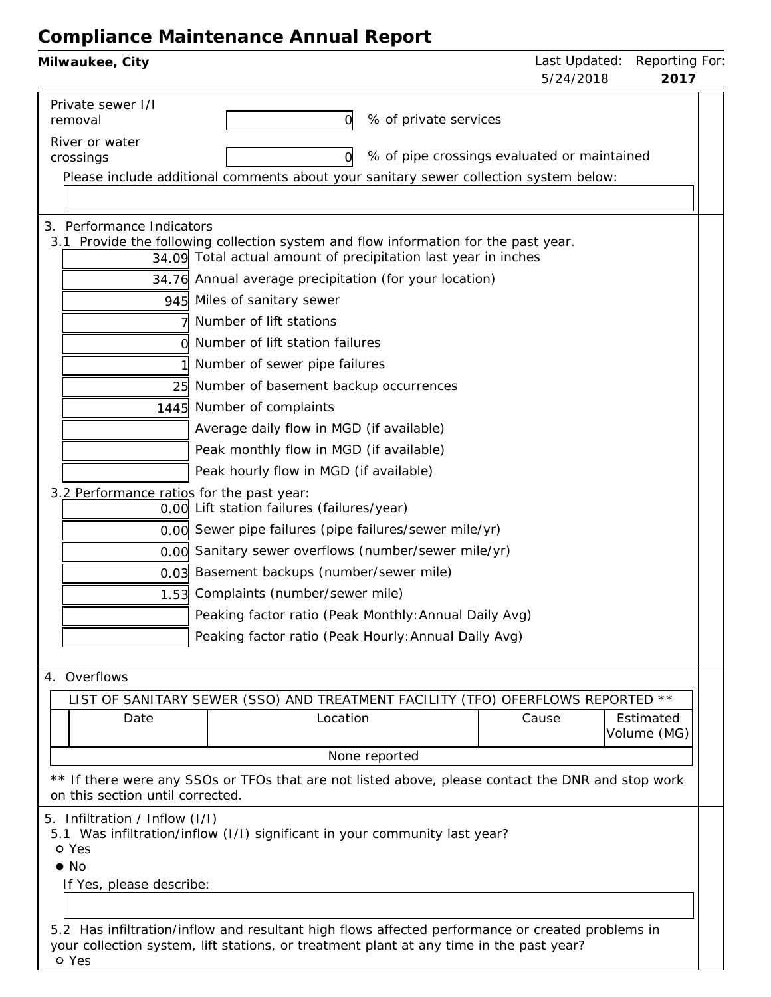| Milwaukee, City                           |                                                                                                                                                                                             |                       | Last Updated:<br>5/24/2018                  | Reporting For:<br>2017   |
|-------------------------------------------|---------------------------------------------------------------------------------------------------------------------------------------------------------------------------------------------|-----------------------|---------------------------------------------|--------------------------|
| Private sewer I/I<br>removal              | O                                                                                                                                                                                           | % of private services |                                             |                          |
| River or water                            |                                                                                                                                                                                             |                       |                                             |                          |
| crossings                                 | O                                                                                                                                                                                           |                       | % of pipe crossings evaluated or maintained |                          |
|                                           | Please include additional comments about your sanitary sewer collection system below:                                                                                                       |                       |                                             |                          |
|                                           |                                                                                                                                                                                             |                       |                                             |                          |
| 3. Performance Indicators                 |                                                                                                                                                                                             |                       |                                             |                          |
|                                           | 3.1 Provide the following collection system and flow information for the past year.<br>34.09 Total actual amount of precipitation last year in inches                                       |                       |                                             |                          |
|                                           | 34.76 Annual average precipitation (for your location)                                                                                                                                      |                       |                                             |                          |
|                                           | 945 Miles of sanitary sewer                                                                                                                                                                 |                       |                                             |                          |
|                                           | Number of lift stations                                                                                                                                                                     |                       |                                             |                          |
|                                           | Number of lift station failures                                                                                                                                                             |                       |                                             |                          |
|                                           | Number of sewer pipe failures                                                                                                                                                               |                       |                                             |                          |
| 25                                        | Number of basement backup occurrences                                                                                                                                                       |                       |                                             |                          |
|                                           | 1445 Number of complaints                                                                                                                                                                   |                       |                                             |                          |
|                                           |                                                                                                                                                                                             |                       |                                             |                          |
|                                           | Average daily flow in MGD (if available)                                                                                                                                                    |                       |                                             |                          |
|                                           | Peak monthly flow in MGD (if available)                                                                                                                                                     |                       |                                             |                          |
|                                           | Peak hourly flow in MGD (if available)                                                                                                                                                      |                       |                                             |                          |
| 3.2 Performance ratios for the past year: | 0.00 Lift station failures (failures/year)                                                                                                                                                  |                       |                                             |                          |
|                                           | 0.00 Sewer pipe failures (pipe failures/sewer mile/yr)                                                                                                                                      |                       |                                             |                          |
|                                           | 0.00 Sanitary sewer overflows (number/sewer mile/yr)                                                                                                                                        |                       |                                             |                          |
|                                           | 0.03 Basement backups (number/sewer mile)                                                                                                                                                   |                       |                                             |                          |
| 1.53                                      | Complaints (number/sewer mile)                                                                                                                                                              |                       |                                             |                          |
|                                           | Peaking factor ratio (Peak Monthly: Annual Daily Avg)                                                                                                                                       |                       |                                             |                          |
|                                           | Peaking factor ratio (Peak Hourly: Annual Daily Avg)                                                                                                                                        |                       |                                             |                          |
|                                           |                                                                                                                                                                                             |                       |                                             |                          |
| 4. Overflows                              |                                                                                                                                                                                             |                       |                                             |                          |
|                                           | LIST OF SANITARY SEWER (SSO) AND TREATMENT FACILITY (TFO) OFERFLOWS REPORTED **                                                                                                             |                       |                                             |                          |
| Date                                      | Location                                                                                                                                                                                    |                       | Cause                                       | Estimated<br>Volume (MG) |
|                                           |                                                                                                                                                                                             | None reported         |                                             |                          |
| on this section until corrected.          | ** If there were any SSOs or TFOs that are not listed above, please contact the DNR and stop work                                                                                           |                       |                                             |                          |
| 5. Infiltration / Inflow (I/I)            |                                                                                                                                                                                             |                       |                                             |                          |
|                                           | 5.1 Was infiltration/inflow (I/I) significant in your community last year?                                                                                                                  |                       |                                             |                          |
| o Yes                                     |                                                                                                                                                                                             |                       |                                             |                          |
| $\bullet$ No                              |                                                                                                                                                                                             |                       |                                             |                          |
| If Yes, please describe:                  |                                                                                                                                                                                             |                       |                                             |                          |
|                                           |                                                                                                                                                                                             |                       |                                             |                          |
|                                           | 5.2 Has infiltration/inflow and resultant high flows affected performance or created problems in<br>your collection system, lift stations, or treatment plant at any time in the past year? |                       |                                             |                          |
| o Yes                                     |                                                                                                                                                                                             |                       |                                             |                          |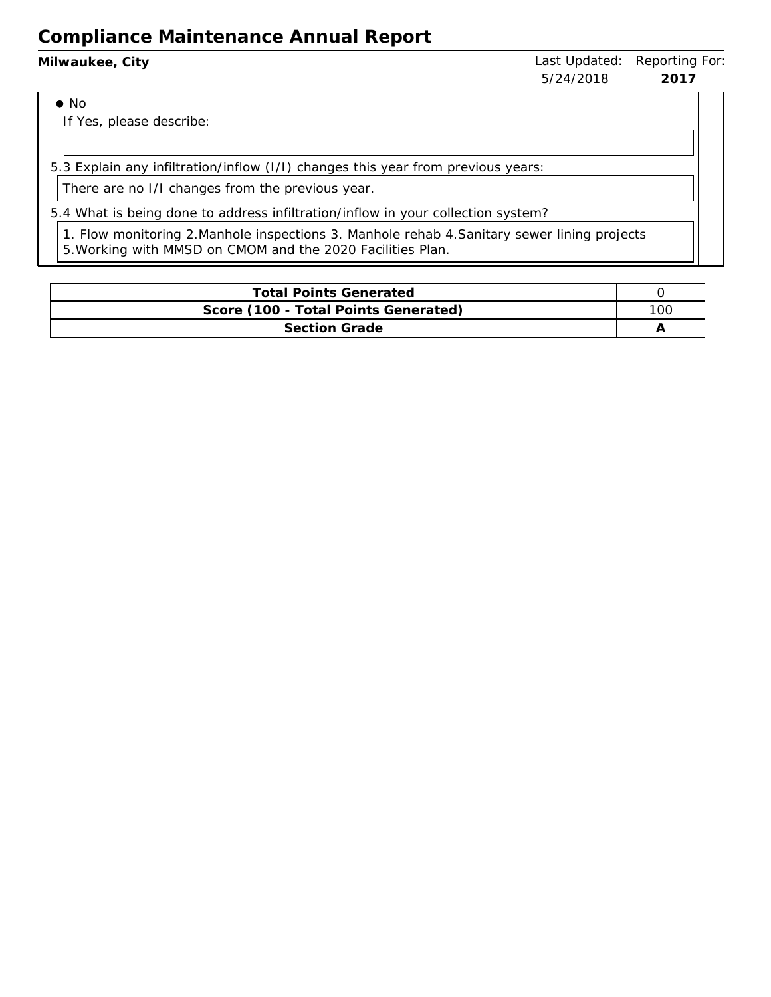| Milwaukee, City | 5/24/2018 | Last Updated: Reporting For:<br>2017 |
|-----------------|-----------|--------------------------------------|
| $\bullet$ No    |           |                                      |

If Yes, please describe:

5.3 Explain any infiltration/inflow (I/I) changes this year from previous years:

There are no I/I changes from the previous year.

5.4 What is being done to address infiltration/inflow in your collection system?

1. Flow monitoring 2.Manhole inspections 3. Manhole rehab 4.Sanitary sewer lining projects 5.Working with MMSD on CMOM and the 2020 Facilities Plan.

| <b>Total Points Generated</b>        |  |  |  |
|--------------------------------------|--|--|--|
| Score (100 - Total Points Generated) |  |  |  |
| Section Grade                        |  |  |  |